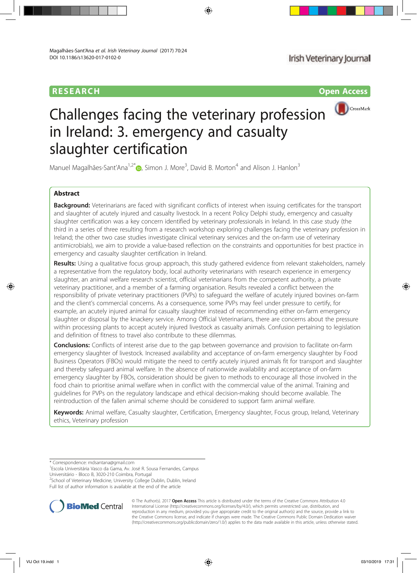## RESEARCH Open Access



# Challenges facing the veterinary profession in Ireland: 3. emergency and casualty slaughter certification

Manuel Magalhães-Sant'Ana<sup>1,2\*</sup>®, Simon J. More<sup>3</sup>, David B. Morton<sup>4</sup> and Alison J. Hanlon<sup>3</sup>

## Abstract

Background: Veterinarians are faced with significant conflicts of interest when issuing certificates for the transport and slaughter of acutely injured and casualty livestock. In a recent Policy Delphi study, emergency and casualty slaughter certification was a key concern identified by veterinary professionals in Ireland. In this case study (the third in a series of three resulting from a research workshop exploring challenges facing the veterinary profession in Ireland; the other two case studies investigate clinical veterinary services and the on-farm use of veterinary antimicrobials), we aim to provide a value-based reflection on the constraints and opportunities for best practice in emergency and casualty slaughter certification in Ireland.

Results: Using a qualitative focus group approach, this study gathered evidence from relevant stakeholders, namely a representative from the regulatory body, local authority veterinarians with research experience in emergency slaughter, an animal welfare research scientist, official veterinarians from the competent authority, a private veterinary practitioner, and a member of a farming organisation. Results revealed a conflict between the responsibility of private veterinary practitioners (PVPs) to safeguard the welfare of acutely injured bovines on-farm and the client's commercial concerns. As a consequence, some PVPs may feel under pressure to certify, for example, an acutely injured animal for casualty slaughter instead of recommending either on-farm emergency slaughter or disposal by the knackery service. Among Official Veterinarians, there are concerns about the pressure within processing plants to accept acutely injured livestock as casualty animals. Confusion pertaining to legislation and definition of fitness to travel also contribute to these dilemmas.

**Conclusions:** Conflicts of interest arise due to the gap between governance and provision to facilitate on-farm emergency slaughter of livestock. Increased availability and acceptance of on-farm emergency slaughter by Food Business Operators (FBOs) would mitigate the need to certify acutely injured animals fit for transport and slaughter and thereby safeguard animal welfare. In the absence of nationwide availability and acceptance of on-farm emergency slaughter by FBOs, consideration should be given to methods to encourage all those involved in the food chain to prioritise animal welfare when in conflict with the commercial value of the animal. Training and guidelines for PVPs on the regulatory landscape and ethical decision-making should become available. The reintroduction of the fallen animal scheme should be considered to support farm animal welfare.

Keywords: Animal welfare, Casualty slaughter, Certification, Emergency slaughter, Focus group, Ireland, Veterinary ethics, Veterinary profession

\* Correspondence: mdsantana@gmail.com <sup>1</sup>

Universitário - Bloco B, 3020-210 Coimbra, Portugal

<sup>2</sup>School of Veterinary Medicine, University College Dublin, Dublin, Ireland

Full list of author information is available at the end of the article



© The Author(s). 2017 Open Access This article is distributed under the terms of the Creative Commons Attribution 4.0 International License (http://creativecommons.org/licenses/by/4.0/), which permits unrestricted use, distribution, and reproduction in any medium, provided you give appropriate credit to the original author(s) and the source, provide a link to the Creative Commons license, and indicate if changes were made. The Creative Commons Public Domain Dedication waiver (http://creativecommons.org/publicdomain/zero/1.0/) applies to the data made available in this article, unless otherwise stated.

<sup>&</sup>lt;sup>1</sup>Escola Universitária Vasco da Gama, Av. José R. Sousa Fernandes, Campus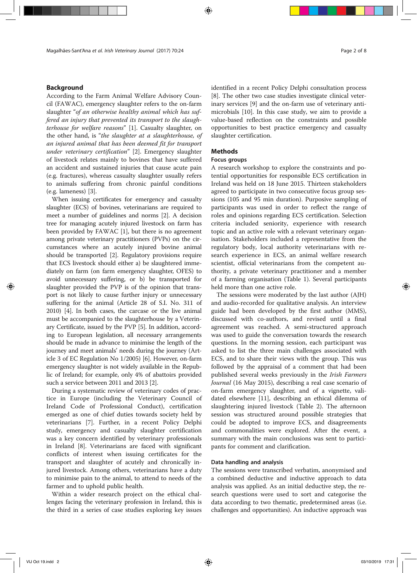## Background

According to the Farm Animal Welfare Advisory Council (FAWAC), emergency slaughter refers to the on-farm slaughter "of an otherwise healthy animal which has suffered an injury that prevented its transport to the slaughterhouse for welfare reasons" [1]. Casualty slaughter, on the other hand, is "the slaughter at a slaughterhouse, of an injured animal that has been deemed fit for transport under veterinary certification" [2]. Emergency slaughter of livestock relates mainly to bovines that have suffered an accident and sustained injuries that cause acute pain (e.g. fractures), whereas casualty slaughter usually refers to animals suffering from chronic painful conditions (e.g. lameness) [3].

When issuing certificates for emergency and casualty slaughter (ECS) of bovines, veterinarians are required to meet a number of guidelines and norms [2]. A decision tree for managing acutely injured livestock on farm has been provided by FAWAC [1], but there is no agreement among private veterinary practitioners (PVPs) on the circumstances where an acutely injured bovine animal should be transported [2]. Regulatory provisions require that ECS livestock should either a) be slaughtered immediately on farm (on farm emergency slaughter, OFES) to avoid unnecessary suffering, or b) be transported for slaughter provided the PVP is of the opinion that transport is not likely to cause further injury or unnecessary suffering for the animal (Article 28 of S.I. No. 311 of 2010) [4]. In both cases, the carcase or the live animal must be accompanied to the slaughterhouse by a Veterinary Certificate, issued by the PVP [5]. In addition, according to European legislation, all necessary arrangements should be made in advance to minimise the length of the journey and meet animals' needs during the journey (Article 3 of EC Regulation No 1/2005) [6]. However, on-farm emergency slaughter is not widely available in the Republic of Ireland; for example, only 4% of abattoirs provided such a service between 2011 and 2013 [2].

During a systematic review of veterinary codes of practice in Europe (including the Veterinary Council of Ireland Code of Professional Conduct), certification emerged as one of chief duties towards society held by veterinarians [7]. Further, in a recent Policy Delphi study, emergency and casualty slaughter certification was a key concern identified by veterinary professionals in Ireland [8]. Veterinarians are faced with significant conflicts of interest when issuing certificates for the transport and slaughter of acutely and chronically injured livestock. Among others, veterinarians have a duty to minimise pain to the animal, to attend to needs of the farmer and to uphold public health.

Within a wider research project on the ethical challenges facing the veterinary profession in Ireland, this is the third in a series of case studies exploring key issues identified in a recent Policy Delphi consultation process [8]. The other two case studies investigate clinical veterinary services [9] and the on-farm use of veterinary antimicrobials [10]. In this case study, we aim to provide a value-based reflection on the constraints and possible opportunities to best practice emergency and casualty slaughter certification.

## Methods

#### Focus groups

A research workshop to explore the constraints and potential opportunities for responsible ECS certification in Ireland was held on 18 June 2015. Thirteen stakeholders agreed to participate in two consecutive focus group sessions (105 and 95 min duration). Purposive sampling of participants was used in order to reflect the range of roles and opinions regarding ECS certification. Selection criteria included seniority, experience with research topic and an active role with a relevant veterinary organisation. Stakeholders included a representative from the regulatory body, local authority veterinarians with research experience in ECS, an animal welfare research scientist, official veterinarians from the competent authority, a private veterinary practitioner and a member of a farming organisation (Table 1). Several participants held more than one active role.

The sessions were moderated by the last author (AJH) and audio-recorded for qualitative analysis. An interview guide had been developed by the first author (MMS), discussed with co-authors, and revised until a final agreement was reached. A semi-structured approach was used to guide the conversation towards the research questions. In the morning session, each participant was asked to list the three main challenges associated with ECS, and to share their views with the group. This was followed by the appraisal of a comment that had been published several weeks previously in the Irish Farmers Journal (16 May 2015), describing a real case scenario of on-farm emergency slaughter, and of a vignette, validated elsewhere [11], describing an ethical dilemma of slaughtering injured livestock (Table 2). The afternoon session was structured around possible strategies that could be adopted to improve ECS, and disagreements and commonalities were explored. After the event, a summary with the main conclusions was sent to participants for comment and clarification.

#### Data handling and analysis

The sessions were transcribed verbatim, anonymised and a combined deductive and inductive approach to data analysis was applied. As an initial deductive step, the research questions were used to sort and categorise the data according to two thematic, predetermined areas (i.e. challenges and opportunities). An inductive approach was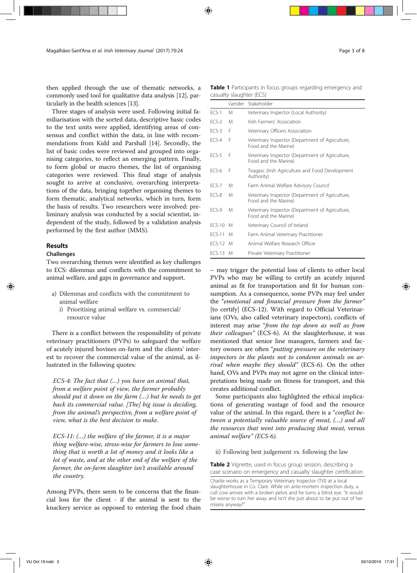then applied through the use of thematic networks, a commonly used tool for qualitative data analysis [12], particularly in the health sciences [13].

Three stages of analysis were used. Following initial familiarisation with the sorted data, descriptive basic codes to the text units were applied, identifying areas of consensus and conflict within the data, in line with recommendations from Kidd and Parshall [14]. Secondly, the list of basic codes were reviewed and grouped into organising categories, to reflect an emerging pattern. Finally, to form global or macro themes, the list of organising categories were reviewed. This final stage of analysis sought to arrive at conclusive, overarching interpretations of the data, bringing together organising themes to form thematic, analytical networks, which in turn, form the basis of results. Two researchers were involved: preliminary analysis was conducted by a social scientist, independent of the study, followed by a validation analysis performed by the first author (MMS).

## Results

#### Challenges

Two overarching themes were identified as key challenges to ECS: dilemmas and conflicts with the commitment to animal welfare, and gaps in governance and support.

- a) Dilemmas and conflicts with the commitment to animal welfare
	- i) Prioritising animal welfare vs. commercial/ resource value

There is a conflict between the responsibility of private veterinary practitioners (PVPs) to safeguard the welfare of acutely injured bovines on-farm and the clients' interest to recover the commercial value of the animal, as illustrated in the following quotes:

ECS-4: The fact that (…) you have an animal that, from a welfare point of view, the farmer probably should put it down on the farm (…) but he needs to get back its commercial value. [The] big issue is deciding, from the animal's perspective, from a welfare point of view, what is the best decision to make.

ECS-11: (…) the welfare of the farmer, it is a major thing welfare-wise, stress-wise for farmers to lose something that is worth a lot of money and it looks like a lot of waste, and at the other end of the welfare of the farmer, the on-farm slaughter isn't available around the country.

Among PVPs, there seem to be concerns that the financial loss for the client - if the animal is sent to the knackery service as opposed to entering the food chain

|                          |  | <b>Table 1</b> Participants in focus groups regarding emergency and |  |
|--------------------------|--|---------------------------------------------------------------------|--|
| casualty slaughter (ECS) |  |                                                                     |  |

|          | Gender | Stakeholder                                                              |  |  |
|----------|--------|--------------------------------------------------------------------------|--|--|
| $FCS-1$  | M      | Veterinary Inspector (Local Authority)                                   |  |  |
| $FCS-2$  | M      | Irish Farmers' Association                                               |  |  |
| $FCS-3$  | F      | Veterinary Officers Association                                          |  |  |
| $FCS-4$  | F      | Veterinary Inspector (Department of Agriculture,<br>Food and the Marine) |  |  |
| $FCS-5$  | F      | Veterinary Inspector (Department of Agriculture,<br>Food and the Marine) |  |  |
| $FCS-6$  | F      | Teagasc (Irish Agriculture and Food Development<br>Authority)            |  |  |
| ECS-7    | M      | Farm Animal Welfare Advisory Council                                     |  |  |
| ECS-8    | M      | Veterinary Inspector (Department of Agriculture,<br>Food and the Marine) |  |  |
| $FCS-9$  | M      | Veterinary Inspector (Department of Agriculture,<br>Food and the Marine) |  |  |
| $FCS-10$ | M      | Veterinary Council of Ireland                                            |  |  |
| $FCS-11$ | M      | Farm Animal Veterinary Practitioner                                      |  |  |
| $FCS-12$ | M      | Animal Welfare Research Officer                                          |  |  |
| $FCS-13$ | M      | Private Veterinary Practitioner                                          |  |  |

– may trigger the potential loss of clients to other local PVPs who may be willing to certify an acutely injured animal as fit for transportation and fit for human consumption. As a consequence, some PVPs may feel under the "emotional and financial pressure from the farmer" [to certify] (ECS-12). With regard to Official Veterinarians (OVs, also called veterinary inspectors), conflicts of interest may arise "from the top down as well as from their colleagues" (ECS-6). At the slaughterhouse, it was mentioned that senior line managers, farmers and factory owners are often "putting pressure on the veterinary inspectors in the plants not to condemn animals on arrival when maybe they should" (ECS-6). On the other hand, OVs and PVPs may not agree on the clinical interpretations being made on fitness for transport, and this creates additional conflict.

Some participants also highlighted the ethical implications of generating wastage of food and the resource value of the animal. In this regard, there is a "conflict between a potentially valuable source of meat, (…) and all the resources that went into producing that meat, versus animal welfare" (ECS-6).

ii) Following best judgement vs. following the law

Table 2 Vignette, used in focus group session, describing a case scenario on emergency and casualty slaughter certification

Charlie works as a Temporary Veterinary Inspector (TVI) at a local slaughterhouse in Co. Clare. While on ante-mortem inspection duty, a cull cow arrives with a broken pelvis and he turns a blind eye. "it would be worse to turn her away and isn't she just about to be put out of her misery anyway?"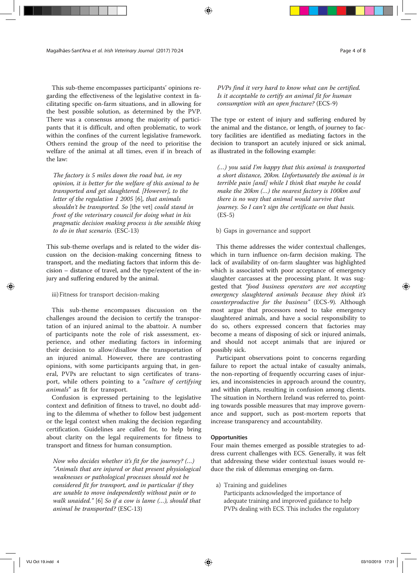This sub-theme encompasses participants' opinions regarding the effectiveness of the legislative context in facilitating specific on-farm situations, and in allowing for the best possible solution, as determined by the PVP. There was a consensus among the majority of participants that it is difficult, and often problematic, to work within the confines of the current legislative framework. Others remind the group of the need to prioritise the welfare of the animal at all times, even if in breach of the law:

The factory is 5 miles down the road but, in my opinion, it is better for the welfare of this animal to be transported and get slaughtered. [However], to the letter of the regulation 1 2005 [6], that animals shouldn't be transported. So [the vet] could stand in front of the veterinary council for doing what in his pragmatic decision making process is the sensible thing to do in that scenario. (ESC-13)

This sub-theme overlaps and is related to the wider discussion on the decision-making concerning fitness to transport, and the mediating factors that inform this decision – distance of travel, and the type/extent of the injury and suffering endured by the animal.

## iii) Fitness for transport decision-making

This sub-theme encompasses discussion on the challenges around the decision to certify the transportation of an injured animal to the abattoir. A number of participants note the role of risk assessment, experience, and other mediating factors in informing their decision to allow/disallow the transportation of an injured animal. However, there are contrasting opinions, with some participants arguing that, in general, PVPs are reluctant to sign certificates of transport, while others pointing to a "culture of certifying animals" as fit for transport.

Confusion is expressed pertaining to the legislative context and definition of fitness to travel, no doubt adding to the dilemma of whether to follow best judgement or the legal context when making the decision regarding certification. Guidelines are called for, to help bring about clarity on the legal requirements for fitness to transport and fitness for human consumption.

Now who decides whether it's fit for the journey? (…) "Animals that are injured or that present physiological weaknesses or pathological processes should not be considered fit for transport, and in particular if they are unable to move independently without pain or to walk unaided." [6] So if a cow is lame (…), should that animal be transported? (ESC-13)

PVPs find it very hard to know what can be certified. Is it acceptable to certify an animal fit for human consumption with an open fracture? (ECS-9)

The type or extent of injury and suffering endured by the animal and the distance, or length, of journey to factory facilities are identified as mediating factors in the decision to transport an acutely injured or sick animal, as illustrated in the following example:

(…) you said I'm happy that this animal is transported a short distance, 20km. Unfortunately the animal is in terrible pain [and] while I think that maybe he could make the 20km (…) the nearest factory is 100km and there is no way that animal would survive that journey. So I can't sign the certificate on that basis. (ES-5)

#### b) Gaps in governance and support

This theme addresses the wider contextual challenges, which in turn influence on-farm decision making. The lack of availability of on-farm slaughter was highlighted which is associated with poor acceptance of emergency slaughter carcasses at the processing plant. It was suggested that "food business operators are not accepting emergency slaughtered animals because they think it's counterproductive for the business" (ECS-9). Although most argue that processors need to take emergency slaughtered animals, and have a social responsibility to do so, others expressed concern that factories may become a means of disposing of sick or injured animals, and should not accept animals that are injured or possibly sick.

Participant observations point to concerns regarding failure to report the actual intake of casualty animals, the non-reporting of frequently occurring cases of injuries, and inconsistencies in approach around the country, and within plants, resulting in confusion among clients. The situation in Northern Ireland was referred to, pointing towards possible measures that may improve governance and support, such as post-mortem reports that increase transparency and accountability.

#### **Opportunities**

Four main themes emerged as possible strategies to address current challenges with ECS. Generally, it was felt that addressing these wider contextual issues would reduce the risk of dilemmas emerging on-farm.

a) Training and guidelines

Participants acknowledged the importance of adequate training and improved guidance to help PVPs dealing with ECS. This includes the regulatory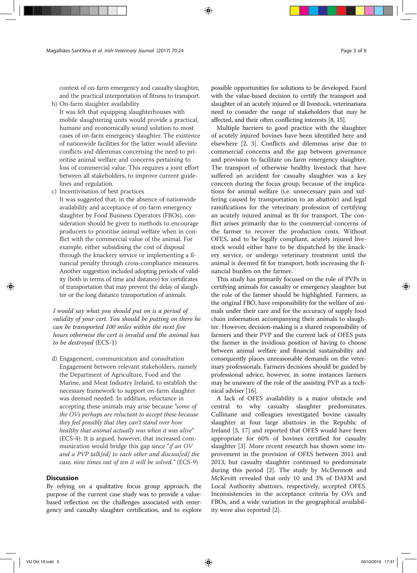context of on-farm emergency and casualty slaughter, and the practical interpretation of fitness to transport. b) On-farm slaughter availability

It was felt that equipping slaughterhouses with mobile slaughtering units would provide a practical, humane and economically sound solution to most cases of on-farm emergency slaughter. The existence of nationwide facilities for the latter would alleviate conflicts and dilemmas concerning the need to prioritise animal welfare and concerns pertaining to loss of commercial value. This requires a joint effort between all stakeholders, to improve current guidelines and regulation.

c) Incentivisation of best practices

It was suggested that, in the absence of nationwide availability and acceptance of on-farm emergency slaughter by Food Business Operators (FBOs), consideration should be given to methods to encourage producers to prioritise animal welfare when in conflict with the commercial value of the animal. For example, either subsidising the cost of disposal through the knackery service or implementing a financial penalty through cross-compliance measures. Another suggestion included adopting periods of validity (both in terms of time and distance) for certificates of transportation that may prevent the delay of slaughter or the long distance transportation of animals:

I would say what you should put on is a period of validity of your cert. You should be putting on there he can be transported 100 miles within the next five hours otherwise the cert is invalid and the animal has to be destroyed (ECS-1)

d) Engagement, communication and consultation Engagement between relevant stakeholders, namely the Department of Agriculture, Food and the Marine, and Meat Industry Ireland, to establish the necessary framework to support on-farm slaughter was deemed needed. In addition, reluctance in accepting these animals may arise because "some of the OVs perhaps are reluctant to accept these because they feel possibly that they can't stand over how healthy that animal actually was when it was alive" (ECS-4). It is argued, however, that increased communication would bridge this gap since "if an  $OV$ and a PVP talk[ed] to each other and discuss[ed] the case, nine times out of ten it will be solved." (ECS-9)

## **Discussion**

By relying on a qualitative focus group approach, the purpose of the current case study was to provide a valuebased reflection on the challenges associated with emergency and casualty slaughter certification, and to explore affected, and their often conflicting interests [8, 15]. Multiple barriers to good practice with the slaughter of acutely injured bovines have been identified here and elsewhere [2, 3]. Conflicts and dilemmas arise due to commercial concerns and the gap between governance and provision to facilitate on-farm emergency slaughter. The transport of otherwise healthy livestock that have suffered an accident for casualty slaughter was a key concern during the focus group, because of the implications for animal welfare (i.e. unnecessary pain and suffering caused by transportation to an abattoir) and legal ramifications for the veterinary profession of certifying an acutely injured animal as fit for transport. The conflict arises primarily due to the commercial concerns of the farmer to recover the production costs. Without OFES, and to be legally compliant, acutely injured livestock would either have to be dispatched by the knackery service, or undergo veterinary treatment until the animal is deemed fit for transport, both increasing the financial burden on the farmer.

This study has primarily focused on the role of PVPs in certifying animals for casualty or emergency slaughter but the role of the farmer should be highlighted. Farmers, as the original FBO, have responsibility for the welfare of animals under their care and for the accuracy of supply food chain information accompanying their animals to slaughter. However, decision-making is a shared responsibility of farmers and their PVP and the current lack of OFES puts the farmer in the invidious position of having to choose between animal welfare and financial sustainability and consequently places unreasonable demands on the veterinary professionals. Farmers decisions should be guided by professional advice, however, in some instances farmers may be unaware of the role of the assisting PVP as a technical adviser [16].

A lack of OFES availability is a major obstacle and central to why casualty slaughter predominates. Cullinane and colleagues investigated bovine casualty slaughter at four large abattoirs in the Republic of Ireland [3, 17] and reported that OFES would have been appropriate for 60% of bovines certified for casualty slaughter [3]. More recent research has shown some improvement in the provision of OFES between 2011 and 2013, but casualty slaughter continued to predominate during this period [2]. The study by McDermott and McKevitt revealed that only 10 and 3% of DAFM and Local Authority abattoirs, respectively, accepted OFES. Inconsistencies in the acceptance criteria by OVs and FBOs, and a wide variation in the geographical availability were also reported [2].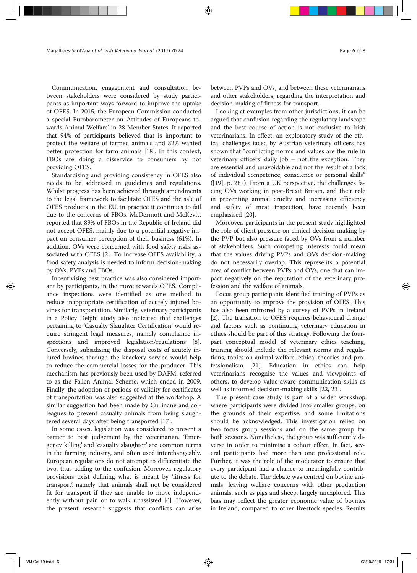Communication, engagement and consultation between stakeholders were considered by study participants as important ways forward to improve the uptake of OFES. In 2015, the European Commission conducted a special Eurobarometer on 'Attitudes of Europeans towards Animal Welfare' in 28 Member States. It reported that 94% of participants believed that is important to protect the welfare of farmed animals and 82% wanted better protection for farm animals [18]. In this context, FBOs are doing a disservice to consumers by not providing OFES.

Standardising and providing consistency in OFES also needs to be addressed in guidelines and regulations. Whilst progress has been achieved through amendments to the legal framework to facilitate OFES and the sale of OFES products in the EU, in practice it continues to fail due to the concerns of FBOs. McDermott and McKevitt reported that 89% of FBOs in the Republic of Ireland did not accept OFES, mainly due to a potential negative impact on consumer perception of their business (61%). In addition, OVs were concerned with food safety risks associated with OFES [2]. To increase OFES availability, a food safety analysis is needed to inform decision-making by OVs, PVPs and FBOs.

Incentivising best practice was also considered important by participants, in the move towards OFES. Compliance inspections were identified as one method to reduce inappropriate certification of acutely injured bovines for transportation. Similarly, veterinary participants in a Policy Delphi study also indicated that challenges pertaining to 'Casualty Slaughter Certification' would require stringent legal measures, namely compliance inspections and improved legislation/regulations [8]. Conversely, subsidising the disposal costs of acutely injured bovines through the knackery service would help to reduce the commercial losses for the producer. This mechanism has previously been used by DAFM, referred to as the Fallen Animal Scheme, which ended in 2009. Finally, the adoption of periods of validity for certificates of transportation was also suggested at the workshop. A similar suggestion had been made by Cullinane and colleagues to prevent casualty animals from being slaughtered several days after being transported [17].

In some cases, legislation was considered to present a barrier to best judgement by the veterinarian. 'Emergency killing' and 'casualty slaughter' are common terms in the farming industry, and often used interchangeably. European regulations do not attempt to differentiate the two, thus adding to the confusion. Moreover, regulatory provisions exist defining what is meant by 'fitness for transport', namely that animals shall not be considered fit for transport if they are unable to move independently without pain or to walk unassisted [6]. However, the present research suggests that conflicts can arise

decision-making of fitness for transport. Looking at examples from other jurisdictions, it can be argued that confusion regarding the regulatory landscape and the best course of action is not exclusive to Irish veterinarians. In effect, an exploratory study of the ethical challenges faced by Austrian veterinary officers has shown that "conflicting norms and values are the rule in veterinary officers' daily job – not the exception. They are essential and unavoidable and not the result of a lack of individual competence, conscience or personal skills" ([19], p. 287). From a UK perspective, the challenges facing OVs working in post-Brexit Britain, and their role in preventing animal cruelty and increasing efficiency and safety of meat inspection, have recently been emphasised [20].

Moreover, participants in the present study highlighted the role of client pressure on clinical decision-making by the PVP but also pressure faced by OVs from a number of stakeholders. Such competing interests could mean that the values driving PVPs and OVs decision-making do not necessarily overlap. This represents a potential area of conflict between PVPs and OVs, one that can impact negatively on the reputation of the veterinary profession and the welfare of animals.

Focus group participants identified training of PVPs as an opportunity to improve the provision of OFES. This has also been mirrored by a survey of PVPs in Ireland [2]. The transition to OFES requires behavioural change and factors such as continuing veterinary education in ethics should be part of this strategy. Following the fourpart conceptual model of veterinary ethics teaching, training should include the relevant norms and regulations, topics on animal welfare, ethical theories and professionalism [21]. Education in ethics can help veterinarians recognise the values and viewpoints of others, to develop value-aware communication skills as well as informed decision-making skills [22, 23].

The present case study is part of a wider workshop where participants were divided into smaller groups, on the grounds of their expertise, and some limitations should be acknowledged. This investigation relied on two focus group sessions and on the same group for both sessions. Nonetheless, the group was sufficiently diverse in order to minimise a cohort effect. In fact, several participants had more than one professional role. Further, it was the role of the moderator to ensure that every participant had a chance to meaningfully contribute to the debate. The debate was centred on bovine animals, leaving welfare concerns with other production animals, such as pigs and sheep, largely unexplored. This bias may reflect the greater economic value of bovines in Ireland, compared to other livestock species. Results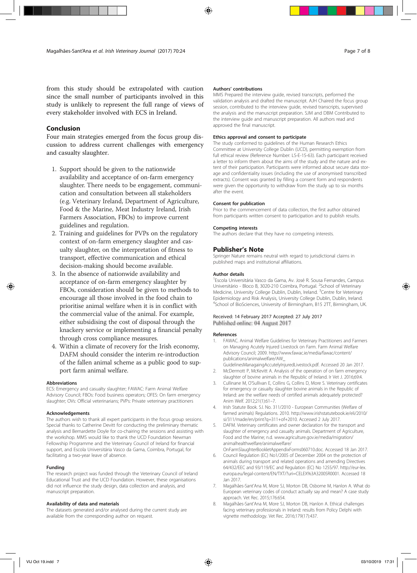from this study should be extrapolated with caution since the small number of participants involved in this study is unlikely to represent the full range of views of every stakeholder involved with ECS in Ireland.

### Conclusion

Four main strategies emerged from the focus group discussion to address current challenges with emergency and casualty slaughter.

- 1. Support should be given to the nationwide availability and acceptance of on-farm emergency slaughter. There needs to be engagement, communication and consultation between all stakeholders (e.g. Veterinary Ireland, Department of Agriculture, Food & the Marine, Meat Industry Ireland, Irish Farmers Association, FBOs) to improve current guidelines and regulation.
- 2. Training and guidelines for PVPs on the regulatory context of on-farm emergency slaughter and casualty slaughter, on the interpretation of fitness to transport, effective communication and ethical decision-making should become available.
- 3. In the absence of nationwide availability and acceptance of on-farm emergency slaughter by FBOs, consideration should be given to methods to encourage all those involved in the food chain to prioritise animal welfare when it is in conflict with the commercial value of the animal. For example, either subsidising the cost of disposal through the knackery service or implementing a financial penalty through cross compliance measures.
- 4. Within a climate of recovery for the Irish economy, DAFM should consider the interim re-introduction of the fallen animal scheme as a public good to support farm animal welfare.

#### Abbreviations

ECS: Emergency and casualty slaughter; FAWAC: Farm Animal Welfare Advisory Council; FBOs: Food business operators; OFES: On farm emergency slaughter; OVs: Official veterinarians; PVPs: Private veterinary practitioners

#### Acknowledgements

The authors wish to thank all expert participants in the focus group sessions. Special thanks to Catherine Devitt for conducting the preliminary thematic analysis and Bernardette Doyle for co-chairing the sessions and assisting with the workshop. MMS would like to thank the UCD Foundation Newman Fellowship Programme and the Veterinary Council of Ireland for financial support, and Escola Universitária Vasco da Gama, Coimbra, Portugal, for facilitating a two-year leave of absence.

#### Funding

The research project was funded through the Veterinary Council of Ireland Educational Trust and the UCD Foundation. However, these organisations did not influence the study design, data collection and analysis, and manuscript preparation.

#### Availability of data and materials

The datasets generated and/or analysed during the current study are available from the corresponding author on request.

#### Authors' contributions

MMS Prepared the interview guide, revised transcripts, performed the validation analysis and drafted the manuscript. AJH Chaired the focus group session, contributed to the interview guide, revised transcripts, supervised the analysis and the manuscript preparation. SJM and DBM Contributed to the interview guide and manuscript preparation. All authors read and approved the final manuscript.

#### Ethics approval and consent to participate

The study conformed to guidelines of the Human Research Ethics Committee at University College Dublin (UCD), permitting exemption from full ethical review (Reference Number: LS-E-15-63). Each participant received a letter to inform them about the aims of the study and the nature and extent of their participation. Participants were informed about secure data storage and confidentiality issues (including the use of anonymised transcribed extracts). Consent was granted by filling a consent form and respondents were given the opportunity to withdraw from the study up to six months after the event.

#### Consent for publication

Prior to the commencement of data collection, the first author obtained from participants written consent to participation and to publish results.

#### Competing interests

The authors declare that they have no competing interests.

## Publisher's Note

Springer Nature remains neutral with regard to jurisdictional claims in published maps and institutional affiliations.

#### Author details

<sup>1</sup>Escola Universitária Vasco da Gama, Av. José R. Sousa Fernandes, Campus Universitário - Bloco B, 3020-210 Coimbra, Portugal. <sup>2</sup>School of Veterinary Medicine, University College Dublin, Dublin, Ireland. <sup>3</sup>Centre for Veterinary Epidemiology and Risk Analysis, University College Dublin, Dublin, Ireland. <sup>4</sup>School of BioSciences, University of Birmingham, B15 2TT, Birmingham, UK

## Received: 14 February 2017 Accepted: 27 July 2017<br>Published online: 04 August 2017

#### References

- 1. FAWAC. Animal Welfare Guidelines for Veterinary Practitioners and Farmers on Managing Acutely Injured Livestock on Farm. Farm Animal Welfare Advisory Council; 2009. http://www.fawac.ie/media/fawac/content/ publications/animalwelfare/AW\_
- GuidelinesManagaingAccutelyInjuredLivestock.pdf. Accessed 20 Jan 2017. 2. McDermott P, McKevitt A. Analysis of the operation of on farm emergency slaughter of bovine animals in the Republic of Ireland. Ir Vet J. 2016;69:4.
- 3. Cullinane M, O'Sullivan E, Collins G, Collins D, More S. Veterinary certificates for emergency or casualty slaughter bovine animals in the Republic of Ireland: are the welfare needs of certified animals adequately protected? Anim Welf. 2012;21(1):61–7.
- 4. Irish Statute Book. S.I. No. 311/2010 European Communities (Welfare of farmed animals) Regulations. 2010. http://www.irishstatutebook.ie/eli/2010/ si/311/made/en/print?q=311+of+2010. Accessed 2 July 2017.
- 5. DAFM. Veterinary certificates and owner declaration for the transport and slaughter of emergency and casualty animals. Department of Agriculture, Food and the Marine; n.d. www.agriculture.gov.ie/media/migration/ animalhealthwelfare/animalwelfare/

OnFarmSlaughterBookletAppendixForms060710.doc. Accessed 18 Jan 2017.

- Council Regulation (EC) No1/2005 of December 2004 on the protection of animals during transport and related operations and amending Directives 64/432/EEC and 93/119/EC and Regulation (EC) No 1255/97. http://eur-lex. europa.eu/legal-content/EN/TXT/?uri=CELEX%3A32005R0001. Accessed 18 Jan 2017.
- 7. Magalhães-Sant'Ana M, More SJ, Morton DB, Osborne M, Hanlon A. What do European veterinary codes of conduct actually say and mean? A case study approach. Vet Rec. 2015;176:654.
- 8. Magalhães-Sant'Ana M, More SJ, Morton DB, Hanlon A. Ethical challenges facing veterinary professionals in Ireland: results from Policy Delphi with vignette methodology. Vet Rec. 2016;179(17):437.